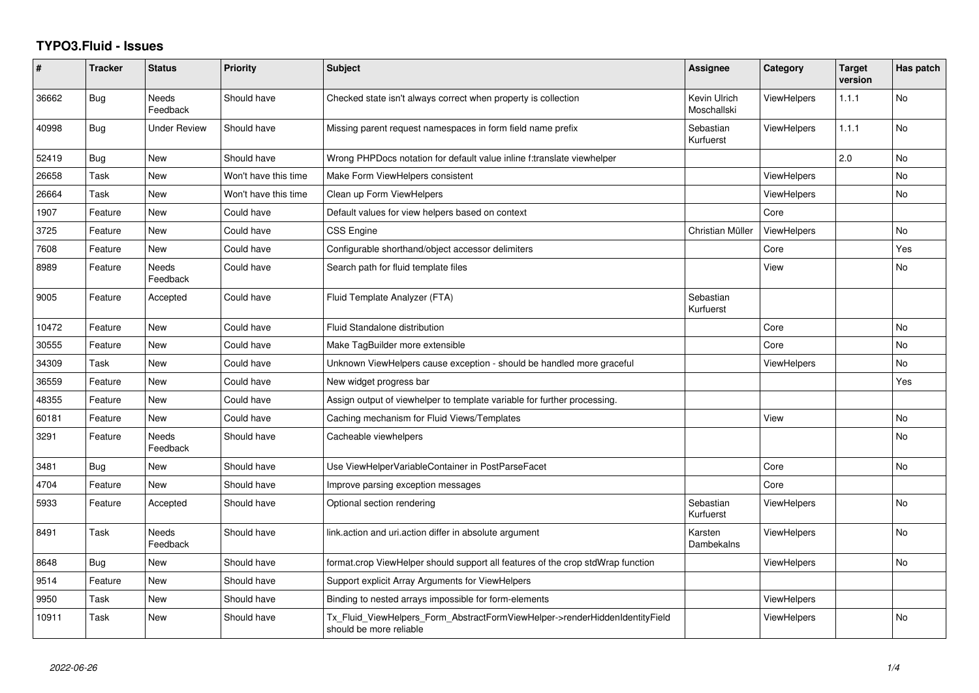## **TYPO3.Fluid - Issues**

| #     | <b>Tracker</b> | <b>Status</b>            | <b>Priority</b>      | <b>Subject</b>                                                                                         | Assignee                    | Category           | <b>Target</b><br>version | Has patch |
|-------|----------------|--------------------------|----------------------|--------------------------------------------------------------------------------------------------------|-----------------------------|--------------------|--------------------------|-----------|
| 36662 | Bug            | <b>Needs</b><br>Feedback | Should have          | Checked state isn't always correct when property is collection                                         | Kevin Ulrich<br>Moschallski | <b>ViewHelpers</b> | 1.1.1                    | <b>No</b> |
| 40998 | <b>Bug</b>     | Under Review             | Should have          | Missing parent request namespaces in form field name prefix                                            | Sebastian<br>Kurfuerst      | <b>ViewHelpers</b> | 1.1.1                    | No        |
| 52419 | Bug            | <b>New</b>               | Should have          | Wrong PHPDocs notation for default value inline f:translate viewhelper                                 |                             |                    | 2.0                      | <b>No</b> |
| 26658 | Task           | New                      | Won't have this time | Make Form ViewHelpers consistent                                                                       |                             | <b>ViewHelpers</b> |                          | <b>No</b> |
| 26664 | Task           | <b>New</b>               | Won't have this time | Clean up Form ViewHelpers                                                                              |                             | ViewHelpers        |                          | No.       |
| 1907  | Feature        | New                      | Could have           | Default values for view helpers based on context                                                       |                             | Core               |                          |           |
| 3725  | Feature        | New                      | Could have           | CSS Engine                                                                                             | Christian Müller            | ViewHelpers        |                          | <b>No</b> |
| 7608  | Feature        | New                      | Could have           | Configurable shorthand/object accessor delimiters                                                      |                             | Core               |                          | Yes       |
| 8989  | Feature        | <b>Needs</b><br>Feedback | Could have           | Search path for fluid template files                                                                   |                             | View               |                          | <b>No</b> |
| 9005  | Feature        | Accepted                 | Could have           | Fluid Template Analyzer (FTA)                                                                          | Sebastian<br>Kurfuerst      |                    |                          |           |
| 10472 | Feature        | New                      | Could have           | Fluid Standalone distribution                                                                          |                             | Core               |                          | No        |
| 30555 | Feature        | New                      | Could have           | Make TagBuilder more extensible                                                                        |                             | Core               |                          | No        |
| 34309 | Task           | New                      | Could have           | Unknown ViewHelpers cause exception - should be handled more graceful                                  |                             | <b>ViewHelpers</b> |                          | No.       |
| 36559 | Feature        | New                      | Could have           | New widget progress bar                                                                                |                             |                    |                          | Yes       |
| 48355 | Feature        | New                      | Could have           | Assign output of viewhelper to template variable for further processing.                               |                             |                    |                          |           |
| 60181 | Feature        | New                      | Could have           | Caching mechanism for Fluid Views/Templates                                                            |                             | View               |                          | <b>No</b> |
| 3291  | Feature        | Needs<br>Feedback        | Should have          | Cacheable viewhelpers                                                                                  |                             |                    |                          | <b>No</b> |
| 3481  | <b>Bug</b>     | New                      | Should have          | Use ViewHelperVariableContainer in PostParseFacet                                                      |                             | Core               |                          | No        |
| 4704  | Feature        | <b>New</b>               | Should have          | Improve parsing exception messages                                                                     |                             | Core               |                          |           |
| 5933  | Feature        | Accepted                 | Should have          | Optional section rendering                                                                             | Sebastian<br>Kurfuerst      | ViewHelpers        |                          | <b>No</b> |
| 8491  | Task           | Needs<br>Feedback        | Should have          | link.action and uri.action differ in absolute argument                                                 | Karsten<br>Dambekalns       | <b>ViewHelpers</b> |                          | No        |
| 8648  | Bug            | <b>New</b>               | Should have          | format.crop ViewHelper should support all features of the crop stdWrap function                        |                             | ViewHelpers        |                          | <b>No</b> |
| 9514  | Feature        | New                      | Should have          | Support explicit Array Arguments for ViewHelpers                                                       |                             |                    |                          |           |
| 9950  | Task           | <b>New</b>               | Should have          | Binding to nested arrays impossible for form-elements                                                  |                             | ViewHelpers        |                          |           |
| 10911 | Task           | New                      | Should have          | Tx_Fluid_ViewHelpers_Form_AbstractFormViewHelper->renderHiddenIdentityField<br>should be more reliable |                             | <b>ViewHelpers</b> |                          | No.       |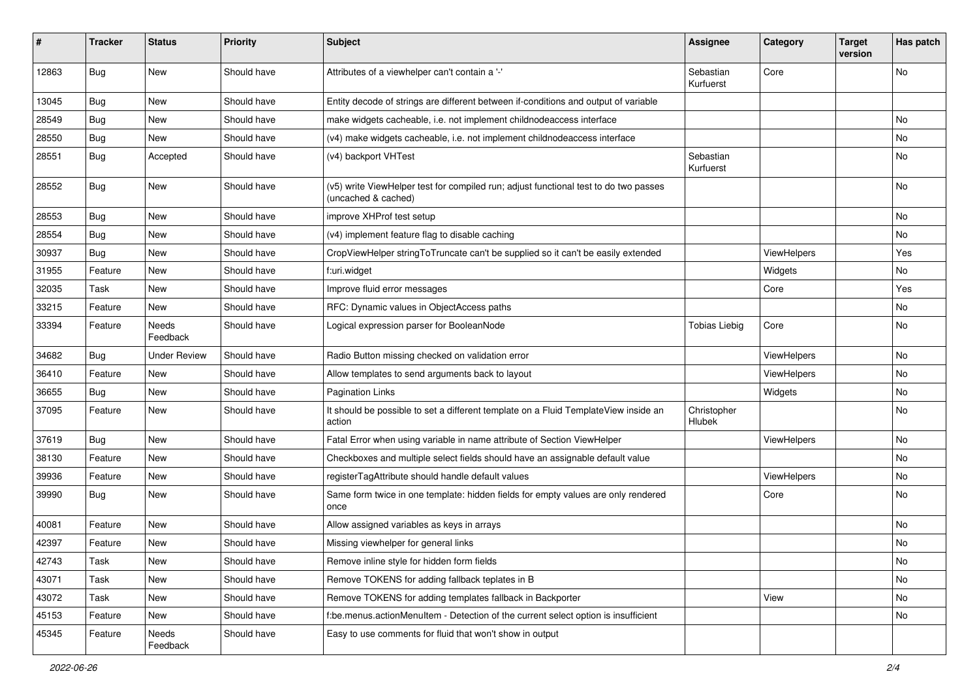| ∦     | <b>Tracker</b> | <b>Status</b>            | Priority    | <b>Subject</b>                                                                                              | <b>Assignee</b>        | Category    | <b>Target</b><br>version | Has patch |
|-------|----------------|--------------------------|-------------|-------------------------------------------------------------------------------------------------------------|------------------------|-------------|--------------------------|-----------|
| 12863 | Bug            | New                      | Should have | Attributes of a viewhelper can't contain a '-'                                                              | Sebastian<br>Kurfuerst | Core        |                          | <b>No</b> |
| 13045 | Bug            | New                      | Should have | Entity decode of strings are different between if-conditions and output of variable                         |                        |             |                          |           |
| 28549 | Bug            | New                      | Should have | make widgets cacheable, i.e. not implement childnodeaccess interface                                        |                        |             |                          | <b>No</b> |
| 28550 | Bug            | New                      | Should have | (v4) make widgets cacheable, i.e. not implement childnodeaccess interface                                   |                        |             |                          | No        |
| 28551 | Bug            | Accepted                 | Should have | (v4) backport VHTest                                                                                        | Sebastian<br>Kurfuerst |             |                          | No        |
| 28552 | Bug            | New                      | Should have | (v5) write ViewHelper test for compiled run; adjust functional test to do two passes<br>(uncached & cached) |                        |             |                          | <b>No</b> |
| 28553 | Bug            | New                      | Should have | improve XHProf test setup                                                                                   |                        |             |                          | No        |
| 28554 | Bug            | New                      | Should have | (v4) implement feature flag to disable caching                                                              |                        |             |                          | No        |
| 30937 | Bug            | New                      | Should have | CropViewHelper stringToTruncate can't be supplied so it can't be easily extended                            |                        | ViewHelpers |                          | Yes       |
| 31955 | Feature        | New                      | Should have | f:uri.widget                                                                                                |                        | Widgets     |                          | No        |
| 32035 | Task           | New                      | Should have | Improve fluid error messages                                                                                |                        | Core        |                          | Yes       |
| 33215 | Feature        | New                      | Should have | RFC: Dynamic values in ObjectAccess paths                                                                   |                        |             |                          | No        |
| 33394 | Feature        | <b>Needs</b><br>Feedback | Should have | Logical expression parser for BooleanNode                                                                   | <b>Tobias Liebig</b>   | Core        |                          | <b>No</b> |
| 34682 | Bug            | <b>Under Review</b>      | Should have | Radio Button missing checked on validation error                                                            |                        | ViewHelpers |                          | No        |
| 36410 | Feature        | New                      | Should have | Allow templates to send arguments back to layout                                                            |                        | ViewHelpers |                          | No        |
| 36655 | Bug            | New                      | Should have | <b>Pagination Links</b>                                                                                     |                        | Widgets     |                          | No        |
| 37095 | Feature        | New                      | Should have | It should be possible to set a different template on a Fluid TemplateView inside an<br>action               | Christopher<br>Hlubek  |             |                          | <b>No</b> |
| 37619 | Bug            | New                      | Should have | Fatal Error when using variable in name attribute of Section ViewHelper                                     |                        | ViewHelpers |                          | No        |
| 38130 | Feature        | New                      | Should have | Checkboxes and multiple select fields should have an assignable default value                               |                        |             |                          | <b>No</b> |
| 39936 | Feature        | New                      | Should have | registerTagAttribute should handle default values                                                           |                        | ViewHelpers |                          | No        |
| 39990 | Bug            | New                      | Should have | Same form twice in one template: hidden fields for empty values are only rendered<br>once                   |                        | Core        |                          | <b>No</b> |
| 40081 | Feature        | New                      | Should have | Allow assigned variables as keys in arrays                                                                  |                        |             |                          | <b>No</b> |
| 42397 | Feature        | New                      | Should have | Missing viewhelper for general links                                                                        |                        |             |                          | No        |
| 42743 | Task           | New                      | Should have | Remove inline style for hidden form fields                                                                  |                        |             |                          | No        |
| 43071 | Task           | New                      | Should have | Remove TOKENS for adding fallback teplates in B                                                             |                        |             |                          | No        |
| 43072 | Task           | New                      | Should have | Remove TOKENS for adding templates fallback in Backporter                                                   |                        | View        |                          | No        |
| 45153 | Feature        | New                      | Should have | f:be.menus.actionMenuItem - Detection of the current select option is insufficient                          |                        |             |                          | No        |
| 45345 | Feature        | Needs<br>Feedback        | Should have | Easy to use comments for fluid that won't show in output                                                    |                        |             |                          |           |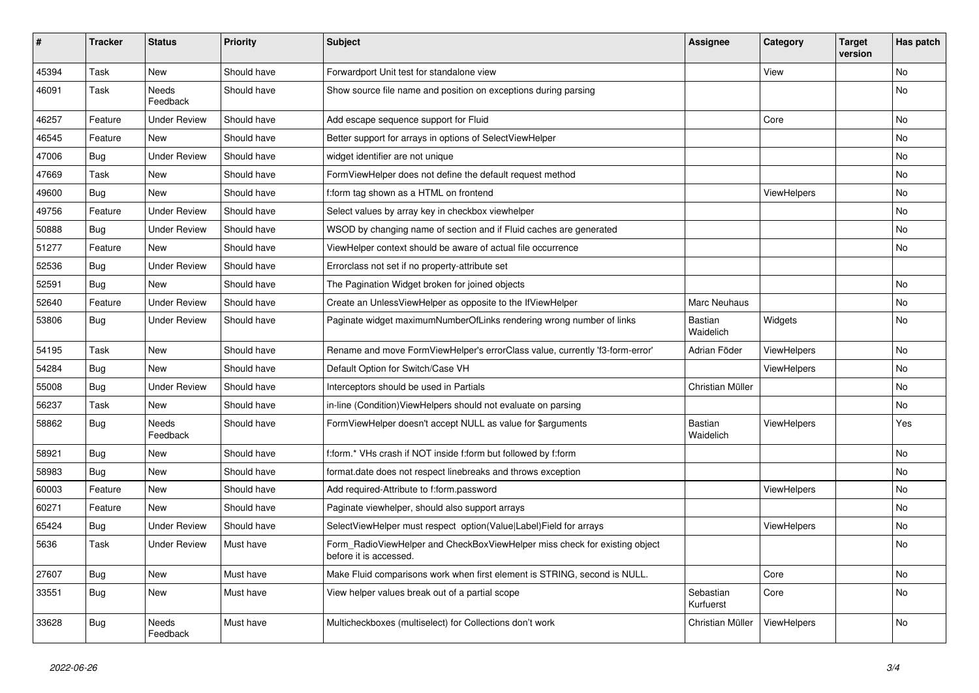| #     | <b>Tracker</b> | <b>Status</b>            | <b>Priority</b> | <b>Subject</b>                                                                                       | <b>Assignee</b>        | Category           | Target<br>version | Has patch |
|-------|----------------|--------------------------|-----------------|------------------------------------------------------------------------------------------------------|------------------------|--------------------|-------------------|-----------|
| 45394 | Task           | New                      | Should have     | Forwardport Unit test for standalone view                                                            |                        | View               |                   | No        |
| 46091 | Task           | Needs<br>Feedback        | Should have     | Show source file name and position on exceptions during parsing                                      |                        |                    |                   | No        |
| 46257 | Feature        | <b>Under Review</b>      | Should have     | Add escape sequence support for Fluid                                                                |                        | Core               |                   | <b>No</b> |
| 46545 | Feature        | New                      | Should have     | Better support for arrays in options of SelectViewHelper                                             |                        |                    |                   | <b>No</b> |
| 47006 | Bug            | <b>Under Review</b>      | Should have     | widget identifier are not unique                                                                     |                        |                    |                   | No        |
| 47669 | Task           | <b>New</b>               | Should have     | FormViewHelper does not define the default request method                                            |                        |                    |                   | No        |
| 49600 | Bug            | <b>New</b>               | Should have     | f:form tag shown as a HTML on frontend                                                               |                        | ViewHelpers        |                   | No        |
| 49756 | Feature        | <b>Under Review</b>      | Should have     | Select values by array key in checkbox viewhelper                                                    |                        |                    |                   | No        |
| 50888 | <b>Bug</b>     | <b>Under Review</b>      | Should have     | WSOD by changing name of section and if Fluid caches are generated                                   |                        |                    |                   | No        |
| 51277 | Feature        | <b>New</b>               | Should have     | ViewHelper context should be aware of actual file occurrence                                         |                        |                    |                   | <b>No</b> |
| 52536 | Bug            | <b>Under Review</b>      | Should have     | Errorclass not set if no property-attribute set                                                      |                        |                    |                   |           |
| 52591 | Bug            | New                      | Should have     | The Pagination Widget broken for joined objects                                                      |                        |                    |                   | <b>No</b> |
| 52640 | Feature        | <b>Under Review</b>      | Should have     | Create an UnlessViewHelper as opposite to the IfViewHelper                                           | Marc Neuhaus           |                    |                   | No        |
| 53806 | Bug            | <b>Under Review</b>      | Should have     | Paginate widget maximumNumberOfLinks rendering wrong number of links                                 | Bastian<br>Waidelich   | Widgets            |                   | <b>No</b> |
| 54195 | Task           | New                      | Should have     | Rename and move FormViewHelper's errorClass value, currently 'f3-form-error'                         | Adrian Föder           | ViewHelpers        |                   | <b>No</b> |
| 54284 | Bug            | <b>New</b>               | Should have     | Default Option for Switch/Case VH                                                                    |                        | ViewHelpers        |                   | No        |
| 55008 | Bug            | <b>Under Review</b>      | Should have     | Interceptors should be used in Partials                                                              | Christian Müller       |                    |                   | No        |
| 56237 | Task           | <b>New</b>               | Should have     | in-line (Condition) View Helpers should not evaluate on parsing                                      |                        |                    |                   | <b>No</b> |
| 58862 | Bug            | <b>Needs</b><br>Feedback | Should have     | FormViewHelper doesn't accept NULL as value for \$arguments                                          | Bastian<br>Waidelich   | <b>ViewHelpers</b> |                   | Yes       |
| 58921 | Bug            | New                      | Should have     | f:form.* VHs crash if NOT inside f:form but followed by f:form                                       |                        |                    |                   | <b>No</b> |
| 58983 | Bug            | New                      | Should have     | format.date does not respect linebreaks and throws exception                                         |                        |                    |                   | No        |
| 60003 | Feature        | New                      | Should have     | Add required-Attribute to f:form.password                                                            |                        | ViewHelpers        |                   | No        |
| 60271 | Feature        | <b>New</b>               | Should have     | Paginate viewhelper, should also support arrays                                                      |                        |                    |                   | No        |
| 65424 | <b>Bug</b>     | <b>Under Review</b>      | Should have     | SelectViewHelper must respect option(Value Label)Field for arrays                                    |                        | ViewHelpers        |                   | No        |
| 5636  | Task           | <b>Under Review</b>      | Must have       | Form_RadioViewHelper and CheckBoxViewHelper miss check for existing object<br>before it is accessed. |                        |                    |                   | <b>No</b> |
| 27607 | Bug            | New                      | Must have       | Make Fluid comparisons work when first element is STRING, second is NULL.                            |                        | Core               |                   | <b>No</b> |
| 33551 | Bug            | New                      | Must have       | View helper values break out of a partial scope                                                      | Sebastian<br>Kurfuerst | Core               |                   | <b>No</b> |
| 33628 | Bug            | Needs<br>Feedback        | Must have       | Multicheckboxes (multiselect) for Collections don't work                                             | Christian Müller       | <b>ViewHelpers</b> |                   | <b>No</b> |